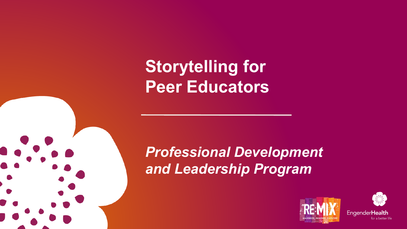## **Storytelling for Peer Educators**

#### *Professional Development and Leadership Program*





**EngenderHealth** for a better life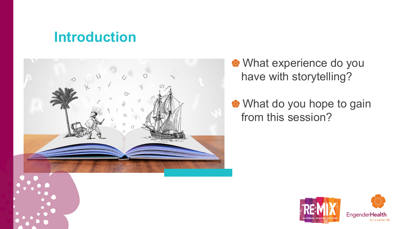#### **Introduction**



What experience do you have with storytelling?

What do you hope to gain from this session?

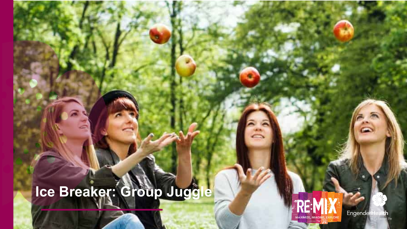# **Ice Breaker: Group Juggle**



**EngenderHealth**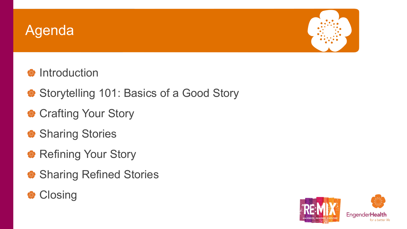#### Agenda



#### **Introduction**

- Storytelling 101: Basics of a Good Story
- **Crafting Your Story**
- **Sharing Stories**
- Refining Your Story
- Sharing Refined Stories



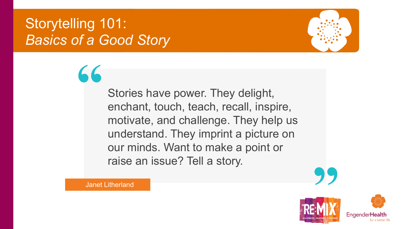#### Storytelling 101: *Basics of a Good Story*

**"**



Stories have power. They delight, enchant, touch, teach, recall, inspire, motivate, and challenge. They help us understand. They imprint a picture on our minds. Want to make a point or raise an issue? Tell a story.



Janet Litherland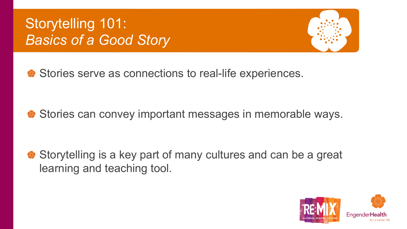### Storytelling 101: *Basics of a Good Story*



Stories serve as connections to real-life experiences.

Stories can convey important messages in memorable ways.

Storytelling is a key part of many cultures and can be a great learning and teaching tool.

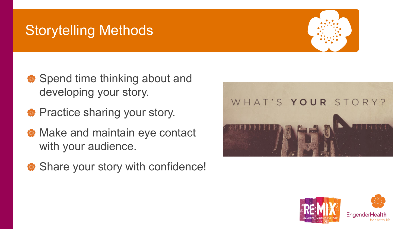#### Storytelling Methods



- Spend time thinking about and developing your story.
- **Practice sharing your story.**
- **Make and maintain eye contact** with your audience.
- Share your story with confidence!



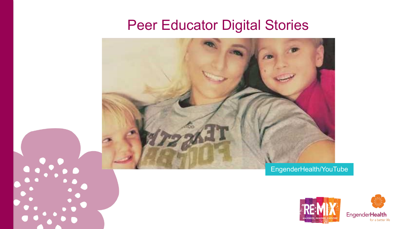#### Peer Educator Digital Stories







for a better life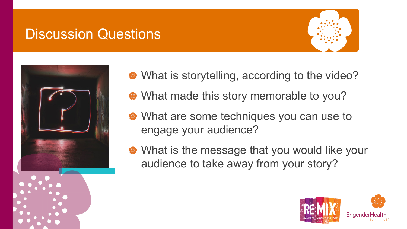#### Discussion Questions





- What is storytelling, according to the video?
- What made this story memorable to you?
- What are some techniques you can use to engage your audience?
- What is the message that you would like your audience to take away from your story?

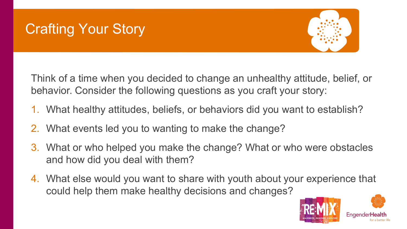### Crafting Your Story



Think of a time when you decided to change an unhealthy attitude, belief, or behavior. Consider the following questions as you craft your story:

- 1. What healthy attitudes, beliefs, or behaviors did you want to establish?
- 2. What events led you to wanting to make the change?
- 3. What or who helped you make the change? What or who were obstacles and how did you deal with them?
- 4. What else would you want to share with youth about your experience that could help them make healthy decisions and changes?

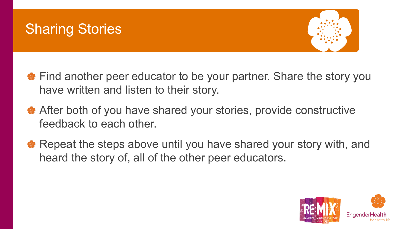#### Sharing Stories



- Find another peer educator to be your partner. Share the story you have written and listen to their story.
- After both of you have shared your stories, provide constructive feedback to each other.
- Repeat the steps above until you have shared your story with, and heard the story of, all of the other peer educators.

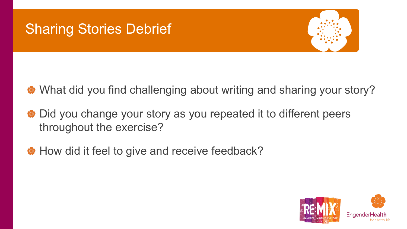#### Sharing Stories Debrief



- What did you find challenging about writing and sharing your story?
- Did you change your story as you repeated it to different peers throughout the exercise?
- How did it feel to give and receive feedback?

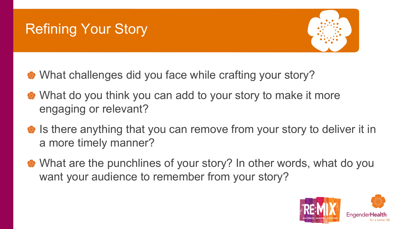### Refining Your Story



- What challenges did you face while crafting your story?
- What do you think you can add to your story to make it more engaging or relevant?
- **■** Is there anything that you can remove from your story to deliver it in a more timely manner?
- What are the punchlines of your story? In other words, what do you want your audience to remember from your story?

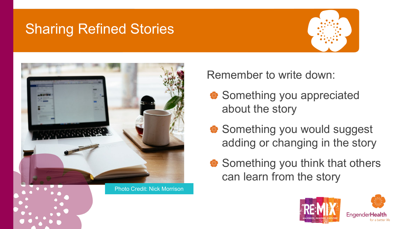#### Sharing Refined Stories





Remember to write down:

- Something you appreciated about the story
- Something you would suggest adding or changing in the story
- Something you think that others can learn from the story